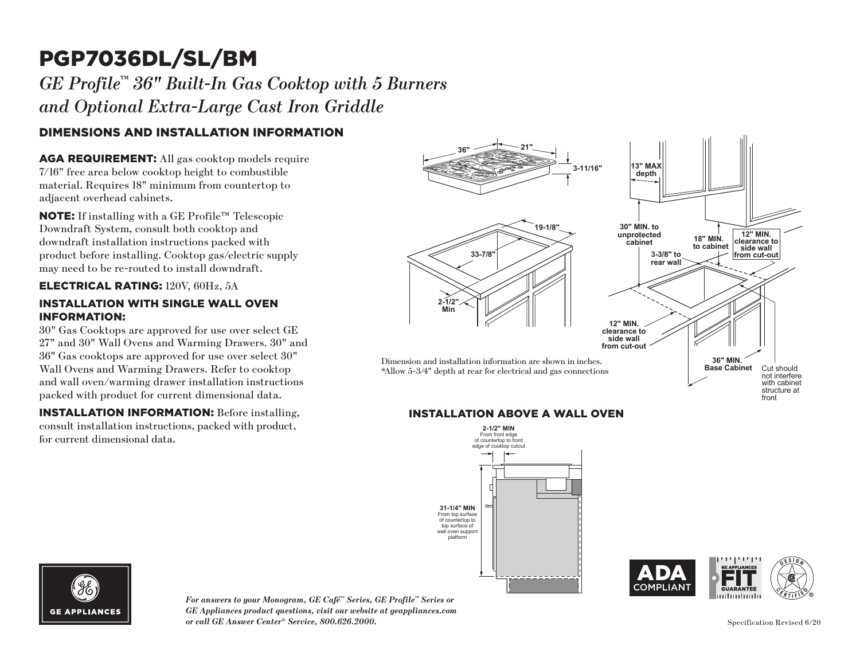# PGP7036DL/SL/BM

### *GE Profile™ 36" Built-In Gas Cooktop with 5 Burners and Optional Extra-Large Cast Iron Griddle*

### DIMENSIONS AND INSTALLATION INFORMATION

AGA REQUIREMENT: All gas cooktop models require 7/16" free area below cooktop height to combustible material. Requires 18" minimum from countertop to adjacent overhead cabinets.

NOTE: If installing with a GE Profile™ Telescopic Downdraft System, consult both cooktop and downdraft installation instructions packed with product before installing. Cooktop gas/electric supply may need to be re-routed to install downdraft.

#### ELECTRICAL RATING: 120V, 60Hz, 5A

#### INSTALLATION WITH SINGLE WALL OVEN INFORMATION:

30" Gas Cooktops are approved for use over select GE 27" and 30" Wall Ovens and Warming Drawers. 30" and 36" Gas cooktops are approved for use over select 30" Wall Ovens and Warming Drawers. Refer to cooktop and wall oven/warming drawer installation instructions packed with product for current dimensional data.

INSTALLATION INFORMATION: Before installing, consult installation instructions, packed with product, for current dimensional data.



#### 1/2" pipe INSTALLATION ABOVE A WALL OVEN **INSTALLATION ABOVE A WALL OVEN**







*For answers to your Monogram, GE Café™ Series, GE Profile™ Series or GE Appliances product questions, visit our website at geappliances.com or call GE Answer Center® Service, 800.626.2000.*

Specification Revised 6/20